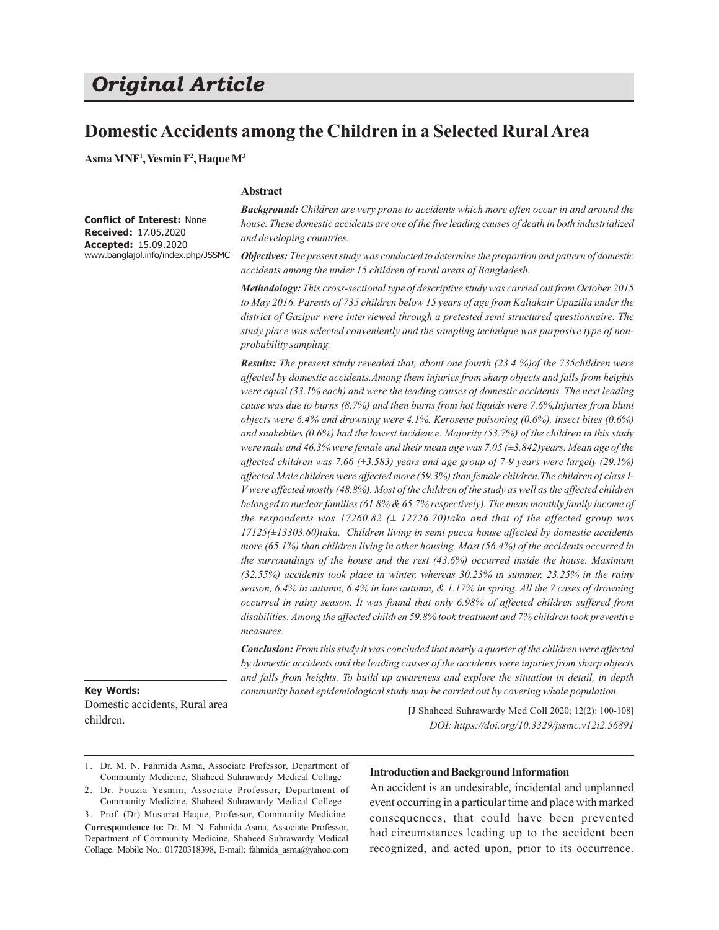# *Original Article*

## **Domestic Accidents among the Children in a Selected Rural Area**

**Asma MNF<sup>1</sup> , Yesmin F<sup>2</sup> , Haque M<sup>3</sup>**

#### **Abstract**

**Conflict of Interest:** None **Received:** 17.05.2020 **Accepted:** 15.09.2020 www.banglajol.info/index.php/JSSMC *Background: Children are very prone to accidents which more often occur in and around the house. These domestic accidents are one of the five leading causes of death in both industrialized and developing countries.*

*Objectives: The present study was conducted to determine the proportion and pattern of domestic accidents among the under 15 children of rural areas of Bangladesh.*

*Methodology: This cross-sectional type of descriptive study was carried out from October 2015 to May 2016. Parents of 735 children below 15 years of age from Kaliakair Upazilla under the district of Gazipur were interviewed through a pretested semi structured questionnaire. The study place was selected conveniently and the sampling technique was purposive type of nonprobability sampling.*

*Results: The present study revealed that, about one fourth (23.4 %)of the 735children were affected by domestic accidents.Among them injuries from sharp objects and falls from heights were equal (33.1% each) and were the leading causes of domestic accidents. The next leading cause was due to burns (8.7%) and then burns from hot liquids were 7.6%,Injuries from blunt objects were 6.4% and drowning were 4.1%. Kerosene poisoning (0.6%), insect bites (0.6%) and snakebites (0.6%) had the lowest incidence. Majority (53.7%) of the children in this study were male and 46.3% were female and their mean age was 7.05 (±3.842)years. Mean age of the affected children was 7.66 (±3.583) years and age group of 7-9 years were largely (29.1%) affected.Male children were affected more (59.3%) than female children.The children of class I-V were affected mostly (48.8%). Most of the children of the study as well as the affected children belonged to nuclear families (61.8% & 65.7% respectively). The mean monthly family income of the respondents was 17260.82 (± 12726.70)taka and that of the affected group was 17125(±13303.60)taka. Children living in semi pucca house affected by domestic accidents more (65.1%) than children living in other housing. Most (56.4%) of the accidents occurred in the surroundings of the house and the rest (43.6%) occurred inside the house. Maximum (32.55%) accidents took place in winter, whereas 30.23% in summer, 23.25% in the rainy season, 6.4% in autumn, 6.4% in late autumn, & 1.17% in spring. All the 7 cases of drowning occurred in rainy season. It was found that only 6.98% of affected children suffered from disabilities. Among the affected children 59.8% took treatment and 7% children took preventive measures.*

*Conclusion: From this study it was concluded that nearly a quarter of the children were affected by domestic accidents and the leading causes of the accidents were injuries from sharp objects and falls from heights. To build up awareness and explore the situation in detail, in depth community based epidemiological study may be carried out by covering whole population.*

#### **Key Words:**

Domestic accidents, Rural area children.

[J Shaheed Suhrawardy Med Coll 2020; 12(2): 100-108] *DOI: https://doi.org/10.3329/jssmc.v12i2.56891*

1. Dr. M. N. Fahmida Asma, Associate Professor, Department of Community Medicine, Shaheed Suhrawardy Medical Collage

2. Dr. Fouzia Yesmin, Associate Professor, Department of Community Medicine, Shaheed Suhrawardy Medical College

3. Prof. (Dr) Musarrat Haque, Professor, Community Medicine **Correspondence to:** Dr. M. N. Fahmida Asma, Associate Professor, Department of Community Medicine, Shaheed Suhrawardy Medical Collage. Mobile No.: 01720318398, E-mail: fahmida\_asma@yahoo.com

#### **Introduction and Background Information**

An accident is an undesirable, incidental and unplanned event occurring in a particular time and place with marked consequences, that could have been prevented had circumstances leading up to the accident been recognized, and acted upon, prior to its occurrence.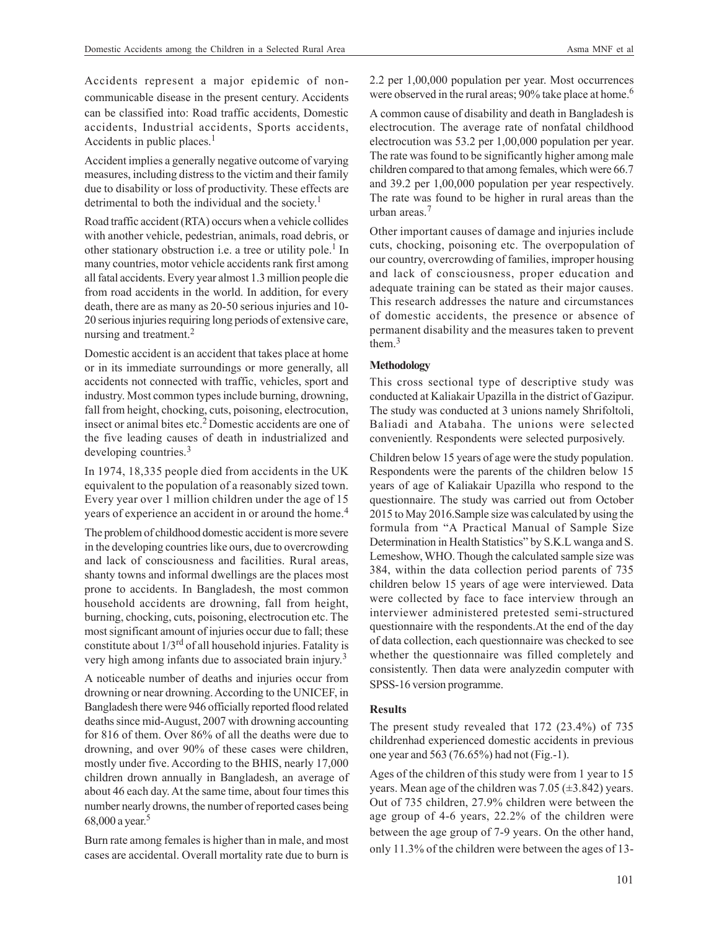Accidents represent a major epidemic of noncommunicable disease in the present century. Accidents can be classified into: Road traffic accidents, Domestic accidents, Industrial accidents, Sports accidents, Accidents in public places.<sup>1</sup>

Accident implies a generally negative outcome of varying measures, including distress to the victim and their family due to disability or loss of productivity. These effects are detrimental to both the individual and the society.<sup>1</sup>

Road traffic accident (RTA) occurs when a vehicle collides with another vehicle, pedestrian, animals, road debris, or other stationary obstruction i.e. a tree or utility pole.<sup>1</sup> In many countries, motor vehicle accidents rank first among all fatal accidents. Every year almost 1.3 million people die from road accidents in the world. In addition, for every death, there are as many as 20-50 serious injuries and 10- 20 serious injuries requiring long periods of extensive care, nursing and treatment.<sup>2</sup>

Domestic accident is an accident that takes place at home or in its immediate surroundings or more generally, all accidents not connected with traffic, vehicles, sport and industry. Most common types include burning, drowning, fall from height, chocking, cuts, poisoning, electrocution, insect or animal bites etc.2 Domestic accidents are one of the five leading causes of death in industrialized and developing countries.<sup>3</sup>

In 1974, 18,335 people died from accidents in the UK equivalent to the population of a reasonably sized town. Every year over 1 million children under the age of 15 years of experience an accident in or around the home.<sup>4</sup>

The problem of childhood domestic accident is more severe in the developing countries like ours, due to overcrowding and lack of consciousness and facilities. Rural areas, shanty towns and informal dwellings are the places most prone to accidents. In Bangladesh, the most common household accidents are drowning, fall from height, burning, chocking, cuts, poisoning, electrocution etc. The most significant amount of injuries occur due to fall; these constitute about 1/3rd of all household injuries. Fatality is very high among infants due to associated brain injury.<sup>3</sup>

A noticeable number of deaths and injuries occur from drowning or near drowning. According to the UNICEF, in Bangladesh there were 946 officially reported flood related deaths since mid-August, 2007 with drowning accounting for 816 of them. Over 86% of all the deaths were due to drowning, and over 90% of these cases were children, mostly under five. According to the BHIS, nearly 17,000 children drown annually in Bangladesh, an average of about 46 each day. At the same time, about four times this number nearly drowns, the number of reported cases being 68,000 a year. 5

Burn rate among females is higher than in male, and most cases are accidental. Overall mortality rate due to burn is 2.2 per 1,00,000 population per year. Most occurrences were observed in the rural areas; 90% take place at home.<sup>6</sup>

A common cause of disability and death in Bangladesh is electrocution. The average rate of nonfatal childhood electrocution was 53.2 per 1,00,000 population per year. The rate was found to be significantly higher among male children compared to that among females, which were 66.7 and 39.2 per 1,00,000 population per year respectively. The rate was found to be higher in rural areas than the urban areas.<sup>7</sup>

Other important causes of damage and injuries include cuts, chocking, poisoning etc. The overpopulation of our country, overcrowding of families, improper housing and lack of consciousness, proper education and adequate training can be stated as their major causes. This research addresses the nature and circumstances of domestic accidents, the presence or absence of permanent disability and the measures taken to prevent them.<sup>3</sup>

#### **Methodology**

This cross sectional type of descriptive study was conducted at Kaliakair Upazilla in the district of Gazipur. The study was conducted at 3 unions namely Shrifoltoli, Baliadi and Atabaha. The unions were selected conveniently. Respondents were selected purposively.

Children below 15 years of age were the study population. Respondents were the parents of the children below 15 years of age of Kaliakair Upazilla who respond to the questionnaire. The study was carried out from October 2015 to May 2016.Sample size was calculated by using the formula from "A Practical Manual of Sample Size Determination in Health Statistics" by S.K.L wanga and S. Lemeshow, WHO. Though the calculated sample size was 384, within the data collection period parents of 735 children below 15 years of age were interviewed. Data were collected by face to face interview through an interviewer administered pretested semi-structured questionnaire with the respondents.At the end of the day of data collection, each questionnaire was checked to see whether the questionnaire was filled completely and consistently. Then data were analyzedin computer with SPSS-16 version programme.

#### **Results**

The present study revealed that 172 (23.4%) of 735 childrenhad experienced domestic accidents in previous one year and 563 (76.65%) had not (Fig.-1).

Ages of the children of this study were from 1 year to 15 years. Mean age of the children was 7.05 (±3.842) years. Out of 735 children, 27.9% children were between the age group of 4-6 years, 22.2% of the children were between the age group of 7-9 years. On the other hand, only 11.3% of the children were between the ages of 13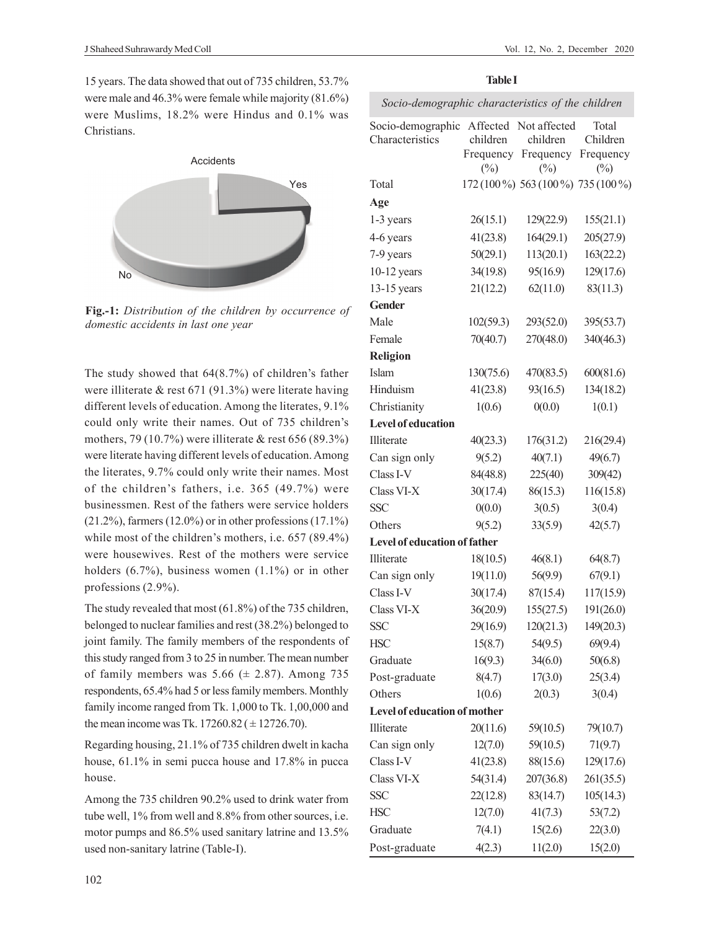15 years. The data showed that out of 735 children, 53.7% were male and 46.3% were female while majority (81.6%) were Muslims, 18.2% were Hindus and 0.1% was Christians.



**Fig.-1:** *Distribution of the children by occurrence of domestic accidents in last one year*

The study showed that 64(8.7%) of children's father were illiterate & rest 671 (91.3%) were literate having different levels of education. Among the literates, 9.1% could only write their names. Out of 735 children's mothers, 79 (10.7%) were illiterate & rest 656 (89.3%) were literate having different levels of education. Among the literates, 9.7% could only write their names. Most of the children's fathers, i.e. 365 (49.7%) were businessmen. Rest of the fathers were service holders (21.2%), farmers (12.0%) or in other professions (17.1%) while most of the children's mothers, i.e. 657 (89.4%) were housewives. Rest of the mothers were service holders (6.7%), business women (1.1%) or in other professions (2.9%).

The study revealed that most (61.8%) of the 735 children, belonged to nuclear families and rest (38.2%) belonged to joint family. The family members of the respondents of this study ranged from 3 to 25 in number. The mean number of family members was  $5.66 \ (\pm 2.87)$ . Among 735 respondents, 65.4% had 5 or less family members. Monthly family income ranged from Tk. 1,000 to Tk. 1,00,000 and the mean income was Tk.  $17260.82 \ (\pm 12726.70)$ .

Regarding housing, 21.1% of 735 children dwelt in kacha house, 61.1% in semi pucca house and 17.8% in pucca house.

Among the 735 children 90.2% used to drink water from tube well, 1% from well and 8.8% from other sources, i.e. motor pumps and 86.5% used sanitary latrine and 13.5% used non-sanitary latrine (Table-I).

| Socio-demographic characteristics of the children |                                             |                                                 |                                          |
|---------------------------------------------------|---------------------------------------------|-------------------------------------------------|------------------------------------------|
| Socio-demographic<br>Characteristics              | Affected<br>children<br>Frequency<br>$(\%)$ | Not affected<br>children<br>Frequency<br>$(\%)$ | Total<br>Children<br>Frequency<br>$(\%)$ |
| Total                                             |                                             | 172 (100 %) 563 (100 %) 735 (100 %)             |                                          |
| Age                                               |                                             |                                                 |                                          |
| 1-3 years                                         | 26(15.1)                                    | 129(22.9)                                       | 155(21.1)                                |
| 4-6 years                                         | 41(23.8)                                    | 164(29.1)                                       | 205(27.9)                                |
| 7-9 years                                         | 50(29.1)                                    | 113(20.1)                                       | 163(22.2)                                |
| $10-12$ years                                     | 34(19.8)                                    | 95(16.9)                                        | 129(17.6)                                |
| $13-15$ years                                     | 21(12.2)                                    | 62(11.0)                                        | 83(11.3)                                 |
| Gender                                            |                                             |                                                 |                                          |
| Male                                              | 102(59.3)                                   | 293(52.0)                                       | 395(53.7)                                |
| Female                                            | 70(40.7)                                    | 270(48.0)                                       | 340(46.3)                                |
| <b>Religion</b>                                   |                                             |                                                 |                                          |
| Islam                                             | 130(75.6)                                   | 470(83.5)                                       | 600(81.6)                                |
| Hinduism                                          | 41(23.8)                                    | 93(16.5)                                        | 134(18.2)                                |
| Christianity                                      | 1(0.6)                                      | 0(0.0)                                          | 1(0.1)                                   |
| <b>Level of education</b>                         |                                             |                                                 |                                          |
| Illiterate                                        | 40(23.3)                                    | 176(31.2)                                       | 216(29.4)                                |
| Can sign only                                     | 9(5.2)                                      | 40(7.1)                                         | 49(6.7)                                  |
| Class I-V                                         | 84(48.8)                                    | 225(40)                                         | 309(42)                                  |
| Class VI-X                                        | 30(17.4)                                    | 86(15.3)                                        | 116(15.8)                                |
| <b>SSC</b>                                        | 0(0.0)                                      | 3(0.5)                                          | 3(0.4)                                   |
| Others                                            | 9(5.2)                                      | 33(5.9)                                         | 42(5.7)                                  |
| Level of education of father                      |                                             |                                                 |                                          |
| Illiterate                                        | 18(10.5)                                    | 46(8.1)                                         | 64(8.7)                                  |
| Can sign only                                     | 19(11.0)                                    | 56(9.9)                                         | 67(9.1)                                  |
| Class I-V                                         | 30(17.4)                                    | 87(15.4)                                        | 117(15.9)                                |
| Class VI-X                                        | 36(20.9)                                    | 155(27.5)                                       | 191(26.0)                                |
| <b>SSC</b>                                        | 29(16.9)                                    | 120(21.3)                                       | 149(20.3)                                |
| <b>HSC</b>                                        | 15(8.7)                                     | 54(9.5)                                         | 69(9.4)                                  |
| Graduate                                          | 16(9.3)                                     | 34(6.0)                                         | 50(6.8)                                  |
| Post-graduate                                     | 8(4.7)                                      | 17(3.0)                                         | 25(3.4)                                  |
| Others                                            | 1(0.6)                                      | 2(0.3)                                          | 3(0.4)                                   |
| Level of education of mother                      |                                             |                                                 |                                          |
| Illiterate                                        | 20(11.6)                                    | 59(10.5)                                        | 79(10.7)                                 |
| Can sign only                                     | 12(7.0)                                     | 59(10.5)                                        | 71(9.7)                                  |
| Class I-V                                         | 41(23.8)                                    | 88(15.6)                                        | 129(17.6)                                |
| Class VI-X                                        | 54(31.4)                                    | 207(36.8)                                       | 261(35.5)                                |
| <b>SSC</b>                                        | 22(12.8)                                    | 83(14.7)                                        | 105(14.3)                                |
| <b>HSC</b>                                        | 12(7.0)                                     | 41(7.3)                                         | 53(7.2)                                  |
| Graduate                                          | 7(4.1)                                      | 15(2.6)                                         | 22(3.0)                                  |
| Post-graduate                                     | 4(2.3)                                      | 11(2.0)                                         | 15(2.0)                                  |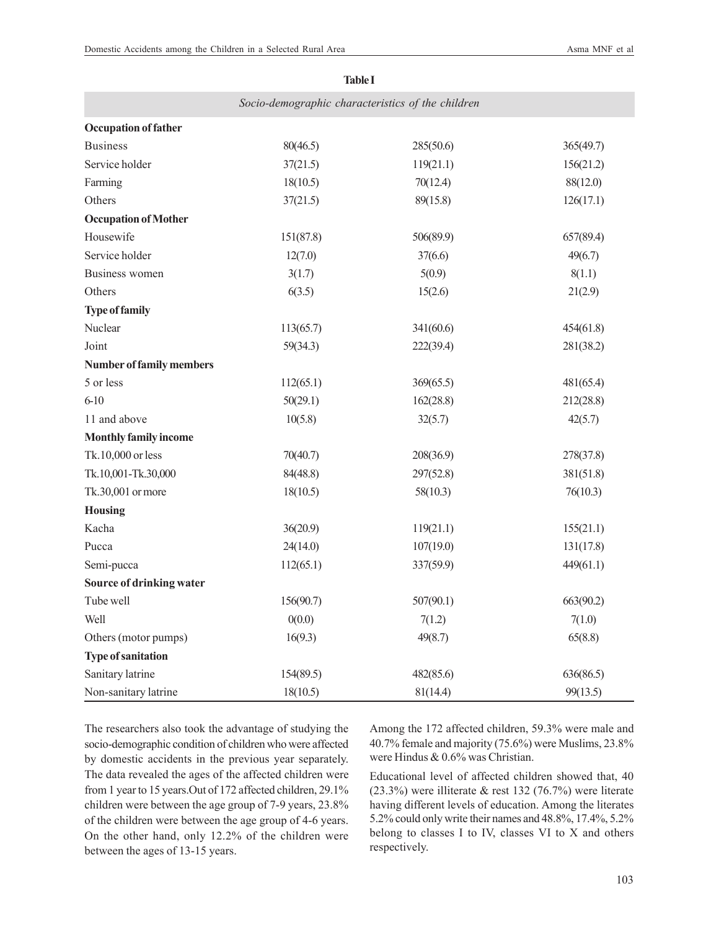| <b>Occupation of father</b>     |           |           |           |
|---------------------------------|-----------|-----------|-----------|
| <b>Business</b>                 | 80(46.5)  | 285(50.6) | 365(49.7) |
| Service holder                  | 37(21.5)  | 119(21.1) | 156(21.2) |
| Farming                         | 18(10.5)  | 70(12.4)  | 88(12.0)  |
| Others                          | 37(21.5)  | 89(15.8)  | 126(17.1) |
| <b>Occupation of Mother</b>     |           |           |           |
| Housewife                       | 151(87.8) | 506(89.9) | 657(89.4) |
| Service holder                  | 12(7.0)   | 37(6.6)   | 49(6.7)   |
| <b>Business women</b>           | 3(1.7)    | 5(0.9)    | 8(1.1)    |
| Others                          | 6(3.5)    | 15(2.6)   | 21(2.9)   |
| <b>Type of family</b>           |           |           |           |
| Nuclear                         | 113(65.7) | 341(60.6) | 454(61.8) |
| Joint                           | 59(34.3)  | 222(39.4) | 281(38.2) |
| <b>Number of family members</b> |           |           |           |
| 5 or less                       | 112(65.1) | 369(65.5) | 481(65.4) |
| $6 - 10$                        | 50(29.1)  | 162(28.8) | 212(28.8) |
| 11 and above                    | 10(5.8)   | 32(5.7)   | 42(5.7)   |
| Monthly family income           |           |           |           |
| Tk.10,000 or less               | 70(40.7)  | 208(36.9) | 278(37.8) |
| Tk.10,001-Tk.30,000             | 84(48.8)  | 297(52.8) | 381(51.8) |
| Tk.30,001 or more               | 18(10.5)  | 58(10.3)  | 76(10.3)  |
| <b>Housing</b>                  |           |           |           |
| Kacha                           | 36(20.9)  | 119(21.1) | 155(21.1) |
| Pucca                           | 24(14.0)  | 107(19.0) | 131(17.8) |
| Semi-pucca                      | 112(65.1) | 337(59.9) | 449(61.1) |
| Source of drinking water        |           |           |           |
| Tube well                       | 156(90.7) | 507(90.1) | 663(90.2) |
| Well                            | 0(0.0)    | 7(1.2)    | 7(1.0)    |
| Others (motor pumps)            | 16(9.3)   | 49(8.7)   | 65(8.8)   |
| <b>Type of sanitation</b>       |           |           |           |
| Sanitary latrine                | 154(89.5) | 482(85.6) | 636(86.5) |
| Non-sanitary latrine            | 18(10.5)  |           | 99(13.5)  |

**Table I** *Socio-demographic characteristics of the children*

The researchers also took the advantage of studying the socio-demographic condition of children who were affected by domestic accidents in the previous year separately. The data revealed the ages of the affected children were from 1 year to 15 years.Out of 172 affected children, 29.1% children were between the age group of 7-9 years, 23.8% of the children were between the age group of 4-6 years. On the other hand, only 12.2% of the children were between the ages of 13-15 years.

Among the 172 affected children, 59.3% were male and 40.7% female and majority (75.6%) were Muslims, 23.8% were Hindus & 0.6% was Christian.

Educational level of affected children showed that, 40 (23.3%) were illiterate & rest 132 (76.7%) were literate having different levels of education. Among the literates 5.2% could only write their names and 48.8%, 17.4%, 5.2% belong to classes I to IV, classes VI to X and others respectively.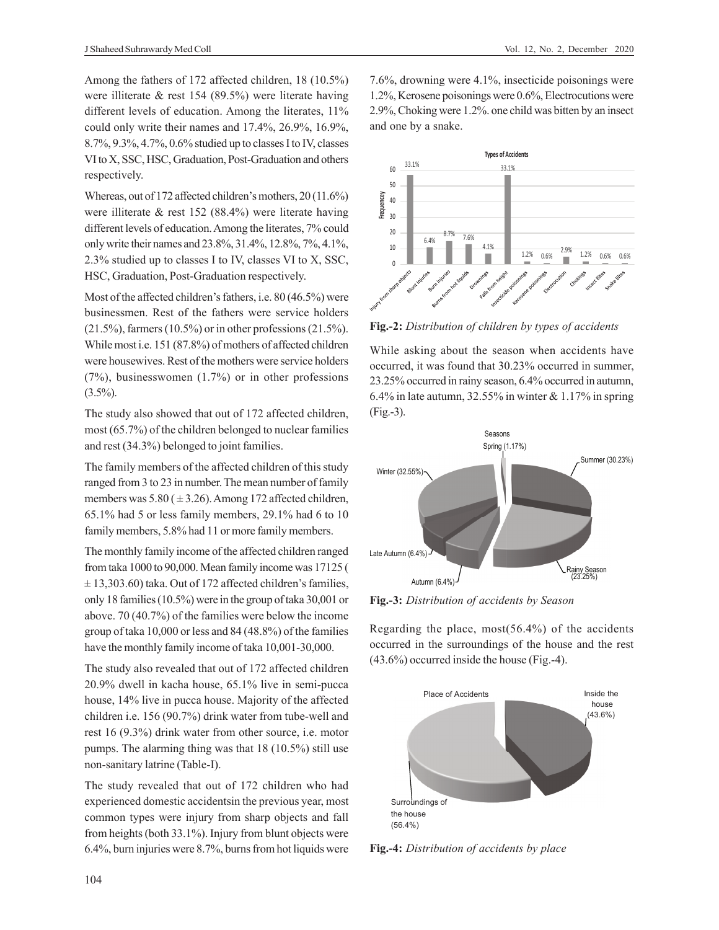Among the fathers of 172 affected children, 18 (10.5%) were illiterate & rest 154 (89.5%) were literate having different levels of education. Among the literates, 11% could only write their names and 17.4%, 26.9%, 16.9%, 8.7%, 9.3%, 4.7%, 0.6% studied up to classes I to IV, classes VI to X, SSC, HSC, Graduation, Post-Graduation and others respectively.

Whereas, out of 172 affected children's mothers, 20 (11.6%) were illiterate & rest 152 (88.4%) were literate having different levels of education. Among the literates, 7% could only write their names and 23.8%, 31.4%, 12.8%, 7%, 4.1%, 2.3% studied up to classes I to IV, classes VI to X, SSC, HSC, Graduation, Post-Graduation respectively.

Most of the affected children's fathers, i.e. 80 (46.5%) were businessmen. Rest of the fathers were service holders (21.5%), farmers (10.5%) or in other professions (21.5%). While most i.e. 151 (87.8%) of mothers of affected children were housewives. Rest of the mothers were service holders (7%), businesswomen (1.7%) or in other professions  $(3.5\%)$ .

The study also showed that out of 172 affected children, most (65.7%) of the children belonged to nuclear families and rest (34.3%) belonged to joint families.

The family members of the affected children of this study ranged from 3 to 23 in number. The mean number of family members was  $5.80 \, (\pm 3.26)$ . Among 172 affected children, 65.1% had 5 or less family members, 29.1% had 6 to 10 family members, 5.8% had 11 or more family members.

The monthly family income of the affected children ranged from taka 1000 to 90,000. Mean family income was 17125 (  $\pm$  13,303.60) taka. Out of 172 affected children's families, only 18 families (10.5%) were in the group of taka 30,001 or above. 70 (40.7%) of the families were below the income group of taka 10,000 or less and 84 (48.8%) of the families have the monthly family income of taka 10,001-30,000.

The study also revealed that out of 172 affected children 20.9% dwell in kacha house, 65.1% live in semi-pucca house, 14% live in pucca house. Majority of the affected children i.e. 156 (90.7%) drink water from tube-well and rest 16 (9.3%) drink water from other source, i.e. motor pumps. The alarming thing was that 18 (10.5%) still use non-sanitary latrine (Table-I).

The study revealed that out of 172 children who had experienced domestic accidentsin the previous year, most common types were injury from sharp objects and fall from heights (both 33.1%). Injury from blunt objects were 6.4%, burn injuries were 8.7%, burns from hot liquids were 7.6%, drowning were 4.1%, insecticide poisonings were 1.2%, Kerosene poisonings were 0.6%, Electrocutions were 2.9%, Choking were 1.2%. one child was bitten by an insect and one by a snake.



**Fig.-2:** *Distribution of children by types of accidents*

While asking about the season when accidents have occurred, it was found that 30.23% occurred in summer, 23.25% occurred in rainy season, 6.4% occurred in autumn, 6.4% in late autumn,  $32.55\%$  in winter & 1.17% in spring (Fig.-3).



**Fig.-3:** *Distribution of accidents by Season*

Regarding the place, most(56.4%) of the accidents occurred in the surroundings of the house and the rest (43.6%) occurred inside the house (Fig.-4).



**Fig.-4:** *Distribution of accidents by place*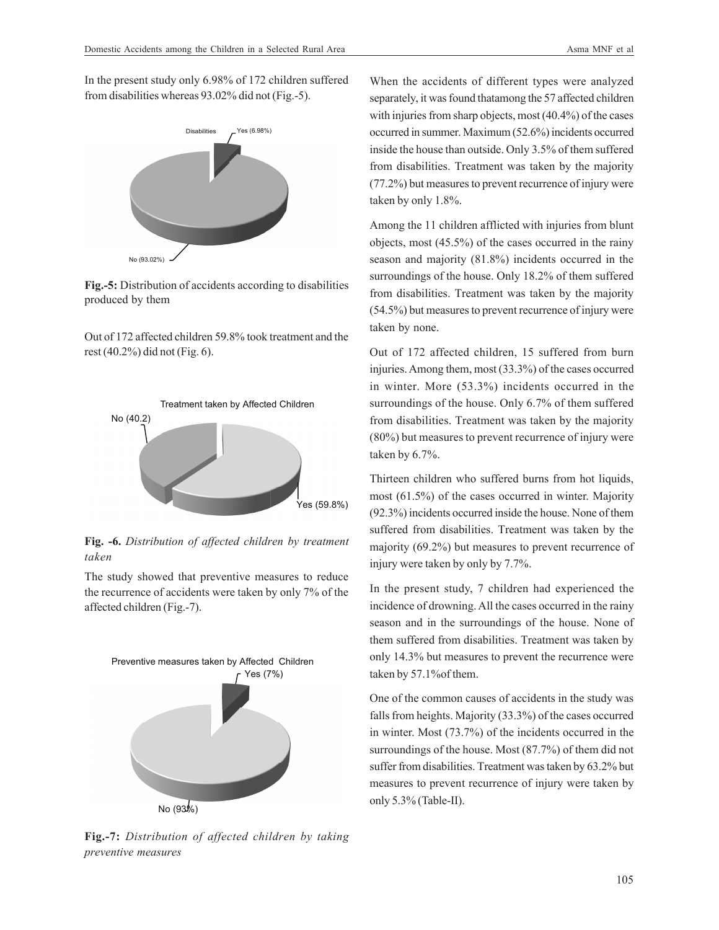In the present study only 6.98% of 172 children suffered from disabilities whereas 93.02% did not (Fig.-5).



**Fig.-5:** Distribution of accidents according to disabilities produced by them

Out of 172 affected children 59.8% took treatment and the rest (40.2%) did not (Fig. 6).



**Fig. -6.** *Distribution of affected children by treatment taken*

The study showed that preventive measures to reduce the recurrence of accidents were taken by only 7% of the affected children (Fig.-7).



**Fig.-7:** *Distribution of affected children by taking preventive measures*

When the accidents of different types were analyzed separately, it was found thatamong the 57 affected children with injuries from sharp objects, most (40.4%) of the cases occurred in summer. Maximum (52.6%) incidents occurred inside the house than outside. Only 3.5% of them suffered from disabilities. Treatment was taken by the majority (77.2%) but measures to prevent recurrence of injury were taken by only 1.8%.

Among the 11 children afflicted with injuries from blunt objects, most (45.5%) of the cases occurred in the rainy season and majority (81.8%) incidents occurred in the surroundings of the house. Only 18.2% of them suffered from disabilities. Treatment was taken by the majority (54.5%) but measures to prevent recurrence of injury were taken by none.

Out of 172 affected children, 15 suffered from burn injuries. Among them, most (33.3%) of the cases occurred in winter. More (53.3%) incidents occurred in the surroundings of the house. Only 6.7% of them suffered from disabilities. Treatment was taken by the majority (80%) but measures to prevent recurrence of injury were taken by 6.7%.

Thirteen children who suffered burns from hot liquids, most (61.5%) of the cases occurred in winter. Majority (92.3%) incidents occurred inside the house. None of them suffered from disabilities. Treatment was taken by the majority (69.2%) but measures to prevent recurrence of injury were taken by only by 7.7%.

In the present study, 7 children had experienced the incidence of drowning. All the cases occurred in the rainy season and in the surroundings of the house. None of them suffered from disabilities. Treatment was taken by only 14.3% but measures to prevent the recurrence were taken by 57.1%of them.

One of the common causes of accidents in the study was falls from heights. Majority (33.3%) of the cases occurred in winter. Most (73.7%) of the incidents occurred in the surroundings of the house. Most (87.7%) of them did not suffer from disabilities. Treatment was taken by 63.2% but measures to prevent recurrence of injury were taken by only 5.3% (Table-II).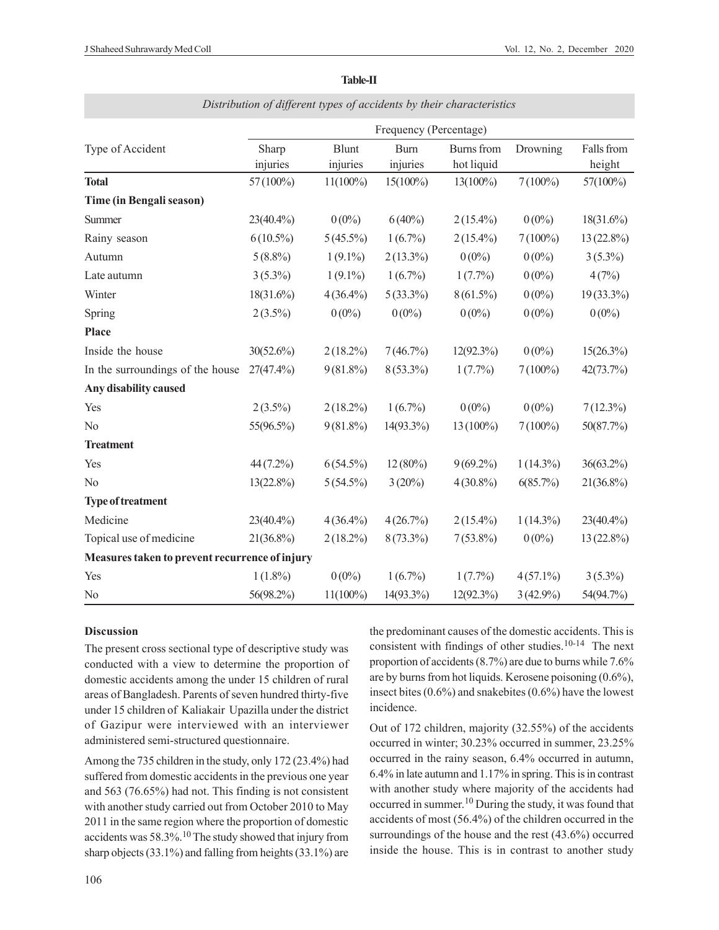|                                                | Frequency (Percentage) |             |             |              |             |              |
|------------------------------------------------|------------------------|-------------|-------------|--------------|-------------|--------------|
| Type of Accident                               | Sharp                  | Blunt       | Burn        | Burns from   | Drowning    | Falls from   |
|                                                | injuries               | injuries    | injuries    | hot liquid   |             | height       |
| <b>Total</b>                                   | 57 (100%)              | $11(100\%)$ | 15(100%)    | $13(100\%)$  | $7(100\%)$  | 57(100%)     |
| Time (in Bengali season)                       |                        |             |             |              |             |              |
| Summer                                         | 23(40.4%)              | $0(0\%)$    | $6(40\%)$   | $2(15.4\%)$  | $0(0\%)$    | $18(31.6\%)$ |
| Rainy season                                   | $6(10.5\%)$            | $5(45.5\%)$ | $1(6.7\%)$  | $2(15.4\%)$  | $7(100\%)$  | 13 (22.8%)   |
| Autumn                                         | $5(8.8\%)$             | $1(9.1\%)$  | $2(13.3\%)$ | $0(0\%)$     | $0(0\%)$    | $3(5.3\%)$   |
| Late autumn                                    | $3(5.3\%)$             | $1(9.1\%)$  | $1(6.7\%)$  | $1(7.7\%)$   | $0(0\%)$    | 4(7%)        |
| Winter                                         | 18(31.6%)              | $4(36.4\%)$ | $5(33.3\%)$ | $8(61.5\%)$  | $0(0\%)$    | 19 (33.3%)   |
| Spring                                         | $2(3.5\%)$             | $0(0\%)$    | $0(0\%)$    | $0(0\%)$     | $0(0\%)$    | $0(0\%)$     |
| Place                                          |                        |             |             |              |             |              |
| Inside the house                               | $30(52.6\%)$           | $2(18.2\%)$ | 7(46.7%)    | $12(92.3\%)$ | $0(0\%)$    | $15(26.3\%)$ |
| In the surroundings of the house               | 27(47.4%)              | $9(81.8\%)$ | $8(53.3\%)$ | $1(7.7\%)$   | $7(100\%)$  | 42(73.7%)    |
| Any disability caused                          |                        |             |             |              |             |              |
| Yes                                            | $2(3.5\%)$             | $2(18.2\%)$ | $1(6.7\%)$  | $0(0\%)$     | $0(0\%)$    | $7(12.3\%)$  |
| N <sub>o</sub>                                 | 55(96.5%)              | $9(81.8\%)$ | 14(93.3%)   | 13 (100%)    | $7(100\%)$  | 50(87.7%)    |
| <b>Treatment</b>                               |                        |             |             |              |             |              |
| Yes                                            | 44 (7.2%)              | $6(54.5\%)$ | $12(80\%)$  | $9(69.2\%)$  | $1(14.3\%)$ | $36(63.2\%)$ |
| No                                             | $13(22.8\%)$           | $5(54.5\%)$ | $3(20\%)$   | $4(30.8\%)$  | $6(85.7\%)$ | 21(36.8%)    |
| <b>Type of treatment</b>                       |                        |             |             |              |             |              |
| Medicine                                       | 23(40.4%)              | $4(36.4\%)$ | 4(26.7%)    | $2(15.4\%)$  | $1(14.3\%)$ | 23(40.4%)    |
| Topical use of medicine                        | 21(36.8%)              | $2(18.2\%)$ | $8(73.3\%)$ | $7(53.8\%)$  | $0(0\%)$    | 13 (22.8%)   |
| Measures taken to prevent recurrence of injury |                        |             |             |              |             |              |
| Yes                                            | $1(1.8\%)$             | $0(0\%)$    | $1(6.7\%)$  | $1(7.7\%)$   | $4(57.1\%)$ | $3(5.3\%)$   |
| No                                             | 56(98.2%)              | $11(100\%)$ | 14(93.3%)   | $12(92.3\%)$ | $3(42.9\%)$ | 54(94.7%)    |

### **Table-II** *Distribution of different types of accidents by their characteristics*

#### **Discussion**

The present cross sectional type of descriptive study was conducted with a view to determine the proportion of domestic accidents among the under 15 children of rural areas of Bangladesh. Parents of seven hundred thirty-five under 15 children of Kaliakair Upazilla under the district of Gazipur were interviewed with an interviewer administered semi-structured questionnaire.

Among the 735 children in the study, only 172 (23.4%) had suffered from domestic accidents in the previous one year and 563 (76.65%) had not. This finding is not consistent with another study carried out from October 2010 to May 2011 in the same region where the proportion of domestic accidents was 58.3%.10 The study showed that injury from sharp objects (33.1%) and falling from heights (33.1%) are

the predominant causes of the domestic accidents. This is consistent with findings of other studies.10-14 The next proportion of accidents (8.7%) are due to burns while 7.6% are by burns from hot liquids. Kerosene poisoning (0.6%), insect bites (0.6%) and snakebites (0.6%) have the lowest incidence.

Out of 172 children, majority (32.55%) of the accidents occurred in winter; 30.23% occurred in summer, 23.25% occurred in the rainy season, 6.4% occurred in autumn, 6.4% in late autumn and 1.17% in spring. This is in contrast with another study where majority of the accidents had occurred in summer. <sup>10</sup> During the study, it was found that accidents of most (56.4%) of the children occurred in the surroundings of the house and the rest (43.6%) occurred inside the house. This is in contrast to another study

106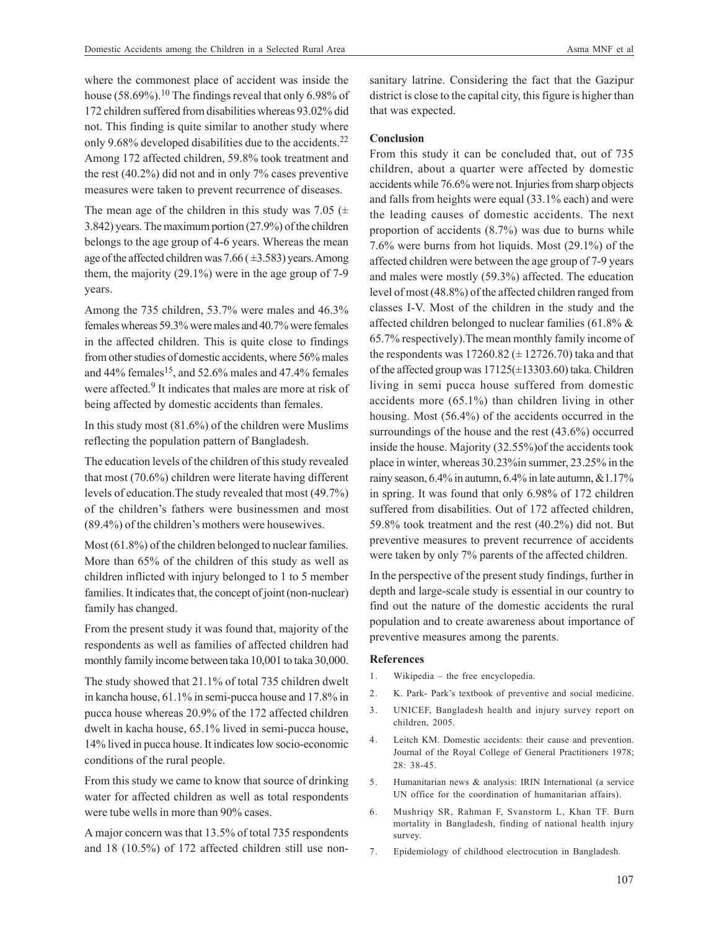where the commonest place of accident was inside the house (58.69%).<sup>10</sup> The findings reveal that only 6.98% of 172 children suffered from disabilities whereas 93.02% did not. This finding is quite similar to another study where only 9.68% developed disabilities due to the accidents.<sup>22</sup> Among 172 affected children, 59.8% took treatment and the rest (40.2%) did not and in only 7% cases preventive measures were taken to prevent recurrence of diseases.

The mean age of the children in this study was 7.05 ( $\pm$ 3.842) years. The maximum portion (27.9%) of the children belongs to the age group of 4-6 years. Whereas the mean age of the affected children was  $7.66 \, (\pm 3.583)$  years. Among them, the majority (29.1%) were in the age group of 7-9 years.

Among the 735 children, 53.7% were males and 46.3% females whereas 59.3% were males and 40.7% were females in the affected children. This is quite close to findings from other studies of domestic accidents, where 56% males and 44% females<sup>15</sup>, and 52.6% males and 47.4% females were affected.<sup>9</sup> It indicates that males are more at risk of being affected by domestic accidents than females.

In this study most (81.6%) of the children were Muslims reflecting the population pattern of Bangladesh.

The education levels of the children of this study revealed that most (70.6%) children were literate having different levels of education.The study revealed that most (49.7%) of the children's fathers were businessmen and most (89.4%) of the children's mothers were housewives.

Most (61.8%) of the children belonged to nuclear families. More than 65% of the children of this study as well as children inflicted with injury belonged to 1 to 5 member families. It indicates that, the concept of joint (non-nuclear) family has changed.

From the present study it was found that, majority of the respondents as well as families of affected children had monthly family income between taka 10,001 to taka 30,000.

The study showed that 21.1% of total 735 children dwelt in kancha house, 61.1% in semi-pucca house and 17.8% in pucca house whereas 20.9% of the 172 affected children dwelt in kacha house, 65.1% lived in semi-pucca house, 14% lived in pucca house. It indicates low socio-economic conditions of the rural people.

From this study we came to know that source of drinking water for affected children as well as total respondents were tube wells in more than 90% cases.

A major concern was that 13.5% of total 735 respondents and 18 (10.5%) of 172 affected children still use nonsanitary latrine. Considering the fact that the Gazipur district is close to the capital city, this figure is higher than that was expected.

#### **Conclusion**

From this study it can be concluded that, out of 735 children, about a quarter were affected by domestic accidents while 76.6% were not. Injuries from sharp objects and falls from heights were equal (33.1% each) and were the leading causes of domestic accidents. The next proportion of accidents (8.7%) was due to burns while 7.6% were burns from hot liquids. Most (29.1%) of the affected children were between the age group of 7-9 years and males were mostly (59.3%) affected. The education level of most (48.8%) of the affected children ranged from classes I-V. Most of the children in the study and the affected children belonged to nuclear families (61.8% & 65.7% respectively).The mean monthly family income of the respondents was 17260.82 ( $\pm$  12726.70) taka and that of the affected group was  $17125(\pm 13303.60)$  taka. Children living in semi pucca house suffered from domestic accidents more (65.1%) than children living in other housing. Most (56.4%) of the accidents occurred in the surroundings of the house and the rest (43.6%) occurred inside the house. Majority (32.55%)of the accidents took place in winter, whereas 30.23%in summer, 23.25% in the rainy season, 6.4% in autumn, 6.4% in late autumn, &1.17% in spring. It was found that only 6.98% of 172 children suffered from disabilities. Out of 172 affected children, 59.8% took treatment and the rest (40.2%) did not. But preventive measures to prevent recurrence of accidents were taken by only 7% parents of the affected children.

In the perspective of the present study findings, further in depth and large-scale study is essential in our country to find out the nature of the domestic accidents the rural population and to create awareness about importance of preventive measures among the parents.

#### **References**

- 1. Wikipedia the free encyclopedia.
- 2. K. Park- Park's textbook of preventive and social medicine.
- 3. UNICEF, Bangladesh health and injury survey report on children, 2005.
- 4. Leitch KM. Domestic accidents: their cause and prevention. Journal of the Royal College of General Practitioners 1978; 28: 38-45.
- 5. Humanitarian news & analysis: IRIN International (a service UN office for the coordination of humanitarian affairs).
- 6. Mushriqy SR, Rahman F, Svanstorm L, Khan TF. Burn mortality in Bangladesh, finding of national health injury survey.
- 7. Epidemiology of childhood electrocution in Bangladesh.